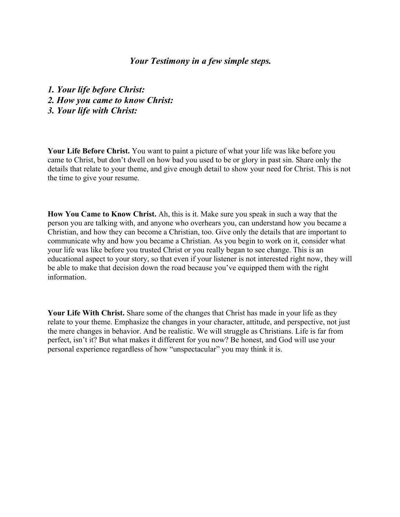## *Your Testimony in a few simple steps.*

*1. Your life before Christ: 2. How you came to know Christ: 3. Your life with Christ:*

**Your Life Before Christ.** You want to paint a picture of what your life was like before you came to Christ, but don't dwell on how bad you used to be or glory in past sin. Share only the details that relate to your theme, and give enough detail to show your need for Christ. This is not the time to give your resume.

**How You Came to Know Christ.** Ah, this is it. Make sure you speak in such a way that the person you are talking with, and anyone who overhears you, can understand how you became a Christian, and how they can become a Christian, too. Give only the details that are important to communicate why and how you became a Christian. As you begin to work on it, consider what your life was like before you trusted Christ or you really began to see change. This is an educational aspect to your story, so that even if your listener is not interested right now, they will be able to make that decision down the road because you've equipped them with the right information.

**Your Life With Christ.** Share some of the changes that Christ has made in your life as they relate to your theme. Emphasize the changes in your character, attitude, and perspective, not just the mere changes in behavior. And be realistic. We will struggle as Christians. Life is far from perfect, isn't it? But what makes it different for you now? Be honest, and God will use your personal experience regardless of how "unspectacular" you may think it is.